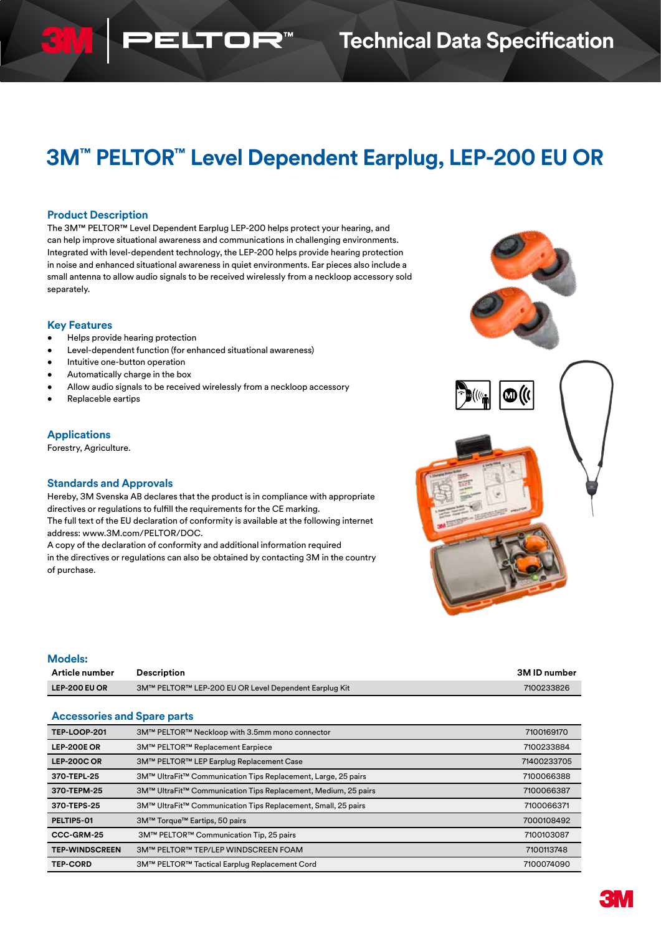# **3M™ PELTOR™ Level Dependent Earplug, LEP-200 EU OR**

#### **Product Description**

The 3M™ PELTOR™ Level Dependent Earplug LEP-200 helps protect your hearing, and can help improve situational awareness and communications in challenging environments. Integrated with level-dependent technology, the LEP-200 helps provide hearing protection in noise and enhanced situational awareness in quiet environments. Ear pieces also include a small antenna to allow audio signals to be received wirelessly from a neckloop accessory sold separately.

 $\overline{\mathbf{u}}$ 

#### **Key Features**

- Helps provide hearing protection
- Level-dependent function (for enhanced situational awareness)
- Intuitive one-button operation
- Automatically charge in the box
- Allow audio signals to be received wirelessly from a neckloop accessory
- Replaceble eartips

### **Applications**

Forestry, Agriculture.

### **Standards and Approvals**

Hereby, 3M Svenska AB declares that the product is in compliance with appropriate directives or regulations to fulfill the requirements for the CE marking. The full text of the EU declaration of conformity is available at the following internet address: www.3M.com/PELTOR/DOC.

A copy of the declaration of conformity and additional information required in the directives or regulations can also be obtained by contacting 3M in the country of purchase.



| <b>Models:</b> |                                                       |              |
|----------------|-------------------------------------------------------|--------------|
| Article number | <b>Description</b>                                    | 3M ID number |
| LEP-200 EU OR  | 3M™ PELTOR™ LEP-200 EU OR Level Dependent Earplug Kit | 7100233826   |

#### **Accessories and Spare parts**

| <b>TEP-LOOP-201</b>   | 3M™ PELTOR™ Neckloop with 3.5mm mono connector                 | 7100169170  |
|-----------------------|----------------------------------------------------------------|-------------|
| <b>LEP-200E OR</b>    | 3M™ PELTOR™ Replacement Earpiece                               | 7100233884  |
| <b>LEP-200C OR</b>    | 3M™ PELTOR™ LEP Earplug Replacement Case                       | 71400233705 |
| 370-TEPL-25           | 3M™ UltraFit™ Communication Tips Replacement, Large, 25 pairs  | 7100066388  |
| 370-TEPM-25           | 3M™ UltraFit™ Communication Tips Replacement, Medium, 25 pairs | 7100066387  |
| 370-TEPS-25           | 3M™ UltraFit™ Communication Tips Replacement, Small, 25 pairs  | 7100066371  |
| PELTIP5-01            | 3M™ Torque™ Eartips, 50 pairs                                  | 7000108492  |
| CCC-GRM-25            | 3M™ PELTOR™ Communication Tip, 25 pairs                        | 7100103087  |
| <b>TEP-WINDSCREEN</b> | 3M™ PELTOR™ TEP/LEP WINDSCREEN FOAM                            | 7100113748  |
| <b>TEP-CORD</b>       | 3M™ PELTOR™ Tactical Earplug Replacement Cord                  | 7100074090  |